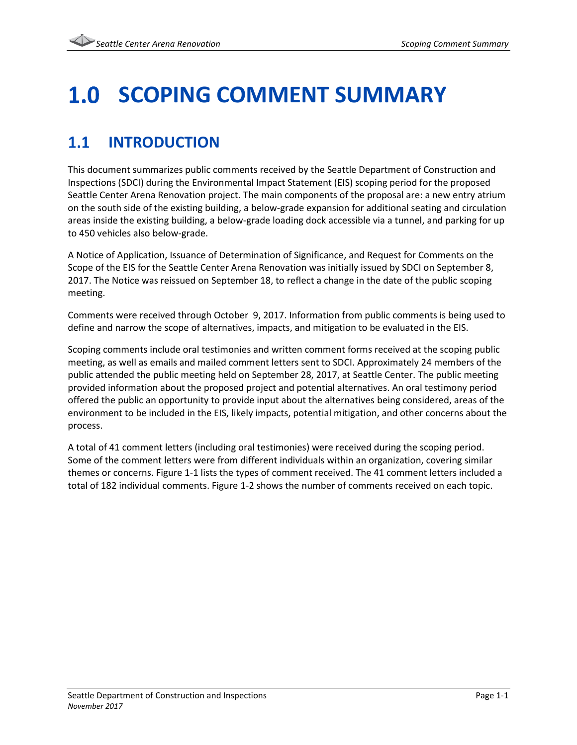### **SCOPING COMMENT SUMMARY** 1.0

### $1.1$ **INTRODUCTION**

This document summarizes public comments received by the Seattle Department of Construction and Inspections (SDCI) during the Environmental Impact Statement (EIS) scoping period for the proposed Seattle Center Arena Renovation project. The main components of the proposal are: a new entry atrium on the south side of the existing building, a below-grade expansion for additional seating and circulation areas inside the existing building, a below-grade loading dock accessible via a tunnel, and parking for up to 450 vehicles also below-grade.

A Notice of Application, Issuance of Determination of Significance, and Request for Comments on the Scope of the EIS for the Seattle Center Arena Renovation was initially issued by SDCI on September 8, 2017. The Notice was reissued on September 18, to reflect a change in the date of the public scoping meeting.

Comments were received through October 9, 2017. Information from public comments is being used to define and narrow the scope of alternatives, impacts, and mitigation to be evaluated in the EIS.

Scoping comments include oral testimonies and written comment forms received at the scoping public meeting, as well as emails and mailed comment letters sent to SDCI. Approximately 24 members of the public attended the public meeting held on September 28, 2017, at Seattle Center. The public meeting provided information about the proposed project and potential alternatives. An oral testimony period offered the public an opportunity to provide input about the alternatives being considered, areas of the environment to be included in the EIS, likely impacts, potential mitigation, and other concerns about the process.

A total of 41 comment letters (including oral testimonies) were received during the scoping period. Some of the comment letters were from different individuals within an organization, covering similar themes or concerns. Figure 1-1 lists the types of comment received. The 41 comment letters included a total of 182 individual comments. Figure 1-2 shows the number of comments received on each topic.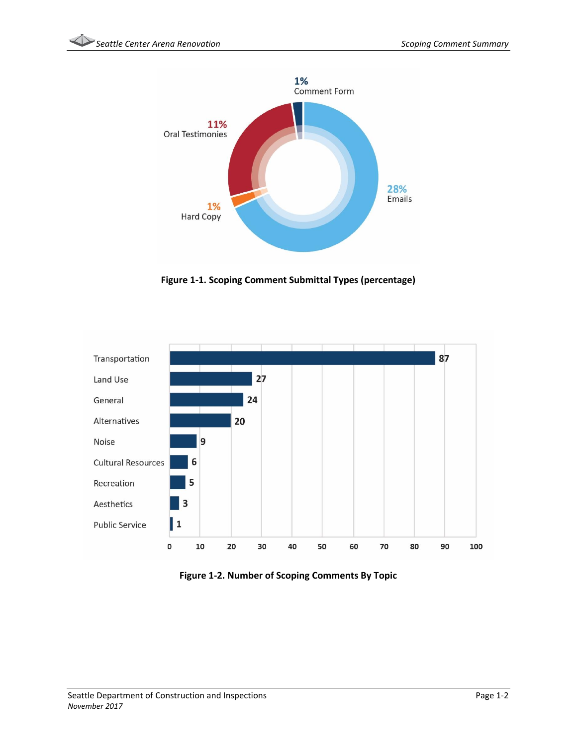

**Figure 1-1. Scoping Comment Submittal Types (percentage)**



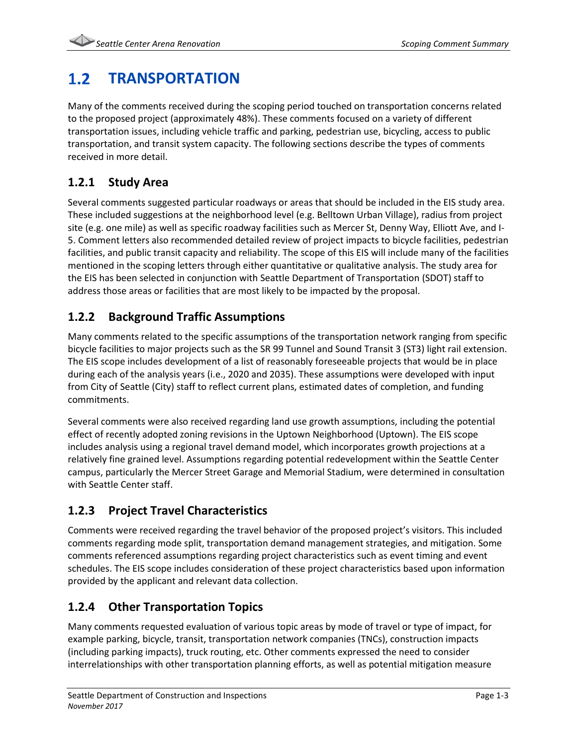### $1.2$ **TRANSPORTATION**

Many of the comments received during the scoping period touched on transportation concerns related to the proposed project (approximately 48%). These comments focused on a variety of different transportation issues, including vehicle traffic and parking, pedestrian use, bicycling, access to public transportation, and transit system capacity. The following sections describe the types of comments received in more detail.

# **1.2.1 Study Area**

Several comments suggested particular roadways or areas that should be included in the EIS study area. These included suggestions at the neighborhood level (e.g. Belltown Urban Village), radius from project site (e.g. one mile) as well as specific roadway facilities such as Mercer St, Denny Way, Elliott Ave, and I-5. Comment letters also recommended detailed review of project impacts to bicycle facilities, pedestrian facilities, and public transit capacity and reliability. The scope of this EIS will include many of the facilities mentioned in the scoping letters through either quantitative or qualitative analysis. The study area for the EIS has been selected in conjunction with Seattle Department of Transportation (SDOT) staff to address those areas or facilities that are most likely to be impacted by the proposal.

# **1.2.2 Background Traffic Assumptions**

Many comments related to the specific assumptions of the transportation network ranging from specific bicycle facilities to major projects such as the SR 99 Tunnel and Sound Transit 3 (ST3) light rail extension. The EIS scope includes development of a list of reasonably foreseeable projects that would be in place during each of the analysis years (i.e., 2020 and 2035). These assumptions were developed with input from City of Seattle (City) staff to reflect current plans, estimated dates of completion, and funding commitments.

Several comments were also received regarding land use growth assumptions, including the potential effect of recently adopted zoning revisions in the Uptown Neighborhood (Uptown). The EIS scope includes analysis using a regional travel demand model, which incorporates growth projections at a relatively fine grained level. Assumptions regarding potential redevelopment within the Seattle Center campus, particularly the Mercer Street Garage and Memorial Stadium, were determined in consultation with Seattle Center staff.

# **1.2.3 Project Travel Characteristics**

Comments were received regarding the travel behavior of the proposed project's visitors. This included comments regarding mode split, transportation demand management strategies, and mitigation. Some comments referenced assumptions regarding project characteristics such as event timing and event schedules. The EIS scope includes consideration of these project characteristics based upon information provided by the applicant and relevant data collection.

# **1.2.4 Other Transportation Topics**

Many comments requested evaluation of various topic areas by mode of travel or type of impact, for example parking, bicycle, transit, transportation network companies (TNCs), construction impacts (including parking impacts), truck routing, etc. Other comments expressed the need to consider interrelationships with other transportation planning efforts, as well as potential mitigation measure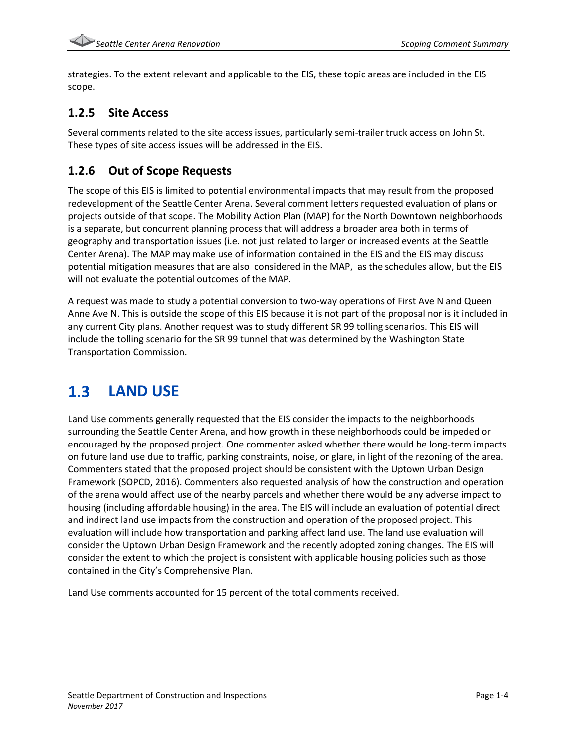strategies. To the extent relevant and applicable to the EIS, these topic areas are included in the EIS scope.

### **1.2.5 Site Access**

Several comments related to the site access issues, particularly semi-trailer truck access on John St. These types of site access issues will be addressed in the EIS.

# **1.2.6 Out of Scope Requests**

The scope of this EIS is limited to potential environmental impacts that may result from the proposed redevelopment of the Seattle Center Arena. Several comment letters requested evaluation of plans or projects outside of that scope. The Mobility Action Plan (MAP) for the North Downtown neighborhoods is a separate, but concurrent planning process that will address a broader area both in terms of geography and transportation issues (i.e. not just related to larger or increased events at the Seattle Center Arena). The MAP may make use of information contained in the EIS and the EIS may discuss potential mitigation measures that are also considered in the MAP, as the schedules allow, but the EIS will not evaluate the potential outcomes of the MAP.

A request was made to study a potential conversion to two-way operations of First Ave N and Queen Anne Ave N. This is outside the scope of this EIS because it is not part of the proposal nor is it included in any current City plans. Another request was to study different SR 99 tolling scenarios. This EIS will include the tolling scenario for the SR 99 tunnel that was determined by the Washington State Transportation Commission.

### $1.3$ **LAND USE**

Land Use comments generally requested that the EIS consider the impacts to the neighborhoods surrounding the Seattle Center Arena, and how growth in these neighborhoods could be impeded or encouraged by the proposed project. One commenter asked whether there would be long-term impacts on future land use due to traffic, parking constraints, noise, or glare, in light of the rezoning of the area. Commenters stated that the proposed project should be consistent with the Uptown Urban Design Framework (SOPCD, 2016). Commenters also requested analysis of how the construction and operation of the arena would affect use of the nearby parcels and whether there would be any adverse impact to housing (including affordable housing) in the area. The EIS will include an evaluation of potential direct and indirect land use impacts from the construction and operation of the proposed project. This evaluation will include how transportation and parking affect land use. The land use evaluation will consider the Uptown Urban Design Framework and the recently adopted zoning changes. The EIS will consider the extent to which the project is consistent with applicable housing policies such as those contained in the City's Comprehensive Plan.

Land Use comments accounted for 15 percent of the total comments received.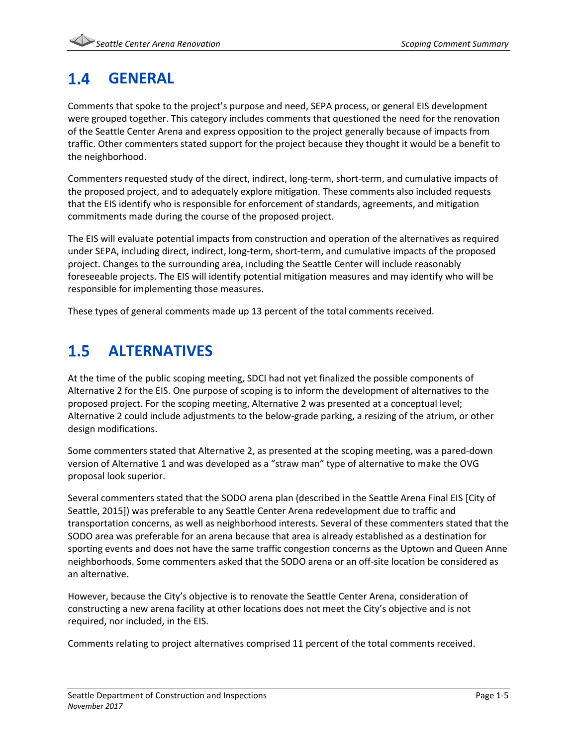### **GENERAL**  $1.4$

Comments that spoke to the project's purpose and need, SEPA process, or general EIS development were grouped together. This category includes comments that questioned the need for the renovation of the Seattle Center Arena and express opposition to the project generally because of impacts from traffic. Other commenters stated support for the project because they thought it would be a benefit to the neighborhood.

Commenters requested study of the direct, indirect, long-term, short-term, and cumulative impacts of the proposed project, and to adequately explore mitigation. These comments also included requests that the EIS identify who is responsible for enforcement of standards, agreements, and mitigation commitments made during the course of the proposed project.

The EIS will evaluate potential impacts from construction and operation of the alternatives as required under SEPA, including direct, indirect, long-term, short-term, and cumulative impacts of the proposed project. Changes to the surrounding area, including the Seattle Center will include reasonably foreseeable projects. The EIS will identify potential mitigation measures and may identify who will be responsible for implementing those measures.

These types of general comments made up 13 percent of the total comments received.

#### $1.5$ **ALTERNATIVES**

At the time of the public scoping meeting, SDCI had not yet finalized the possible components of Alternative 2 for the EIS. One purpose of scoping is to inform the development of alternatives to the proposed project. For the scoping meeting, Alternative 2 was presented at a conceptual level; Alternative 2 could include adjustments to the below-grade parking, a resizing of the atrium, or other design modifications.

Some commenters stated that Alternative 2, as presented at the scoping meeting, was a pared-down version of Alternative 1 and was developed as a "straw man" type of alternative to make the OVG proposal look superior.

Several commenters stated that the SODO arena plan (described in the Seattle Arena Final EIS [City of Seattle, 2015]) was preferable to any Seattle Center Arena redevelopment due to traffic and transportation concerns, as well as neighborhood interests. Several of these commenters stated that the SODO area was preferable for an arena because that area is already established as a destination for sporting events and does not have the same traffic congestion concerns as the Uptown and Queen Anne neighborhoods. Some commenters asked that the SODO arena or an off-site location be considered as an alternative.

However, because the City's objective is to renovate the Seattle Center Arena, consideration of constructing a new arena facility at other locations does not meet the City's objective and is not required, nor included, in the EIS.

Comments relating to project alternatives comprised 11 percent of the total comments received.